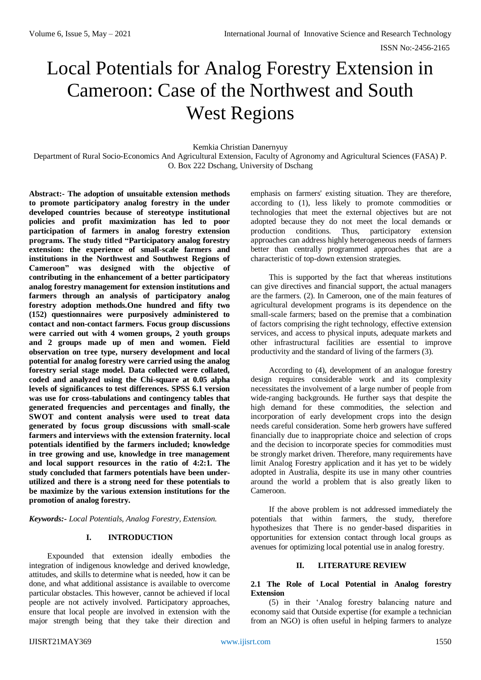# Local Potentials for Analog Forestry Extension in Cameroon: Case of the Northwest and South West Regions

Kemkia Christian Danernyuy

Department of Rural Socio-Economics And Agricultural Extension, Faculty of Agronomy and Agricultural Sciences (FASA) P. O. Box 222 Dschang, University of Dschang

**Abstract:- The adoption of unsuitable extension methods to promote participatory analog forestry in the under developed countries because of stereotype institutional policies and profit maximization has led to poor participation of farmers in analog forestry extension programs. The study titled "Participatory analog forestry extension: the experience of small-scale farmers and institutions in the Northwest and Southwest Regions of Cameroon" was designed with the objective of contributing in the enhancement of a better participatory analog forestry management for extension institutions and farmers through an analysis of participatory analog forestry adoption methods.One hundred and fifty two (152) questionnaires were purposively administered to contact and non-contact farmers. Focus group discussions were carried out with 4 women groups, 2 youth groups and 2 groups made up of men and women. Field observation on tree type, nursery development and local potential for analog forestry were carried using the analog forestry serial stage model. Data collected were collated, coded and analyzed using the Chi-square at 0.05 alpha levels of significances to test differences. SPSS 6.1 version was use for cross-tabulations and contingency tables that generated frequencies and percentages and finally, the SWOT and content analysis were used to treat data generated by focus group discussions with small-scale farmers and interviews with the extension fraternity. local potentials identified by the farmers included; knowledge in tree growing and use, knowledge in tree management and local support resources in the ratio of 4:2:1. The study concluded that farmers potentials have been underutilized and there is a strong need for these potentials to be maximize by the various extension institutions for the promotion of analog forestry.**

*Keywords:- Local Potentials, Analog Forestry, Extension.*

# **I. INTRODUCTION**

Expounded that extension ideally embodies the integration of indigenous knowledge and derived knowledge, attitudes, and skills to determine what is needed, how it can be done, and what additional assistance is available to overcome particular obstacles. This however, cannot be achieved if local people are not actively involved. Participatory approaches, ensure that local people are involved in extension with the major strength being that they take their direction and

emphasis on farmers' existing situation. They are therefore, according to (1), less likely to promote commodities or technologies that meet the external objectives but are not adopted because they do not meet the local demands or production conditions. Thus, participatory extension approaches can address highly heterogeneous needs of farmers better than centrally programmed approaches that are a characteristic of top-down extension strategies.

This is supported by the fact that whereas institutions can give directives and financial support, the actual managers are the farmers. (2). In Cameroon, one of the main features of agricultural development programs is its dependence on the small-scale farmers; based on the premise that a combination of factors comprising the right technology, effective extension services, and access to physical inputs, adequate markets and other infrastructural facilities are essential to improve productivity and the standard of living of the farmers (3).

According to (4), development of an analogue forestry design requires considerable work and its complexity necessitates the involvement of a large number of people from wide-ranging backgrounds. He further says that despite the high demand for these commodities, the selection and incorporation of early development crops into the design needs careful consideration. Some herb growers have suffered financially due to inappropriate choice and selection of crops and the decision to incorporate species for commodities must be strongly market driven. Therefore, many requirements have limit Analog Forestry application and it has yet to be widely adopted in Australia, despite its use in many other countries around the world a problem that is also greatly liken to Cameroon.

If the above problem is not addressed immediately the potentials that within farmers, the study, therefore hypothesizes that There is no gender-based disparities in opportunities for extension contact through local groups as avenues for optimizing local potential use in analog forestry.

## **II. LITERATURE REVIEW**

## **2.1 The Role of Local Potential in Analog forestry Extension**

(5) in their 'Analog forestry balancing nature and economy said that Outside expertise (for example a technician from an NGO) is often useful in helping farmers to analyze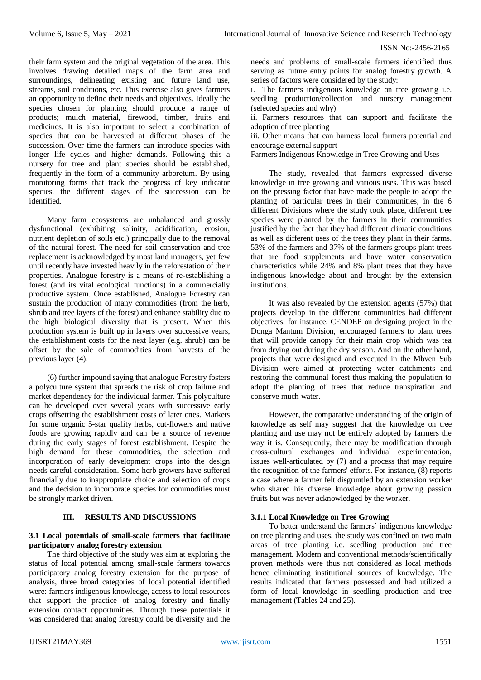their farm system and the original vegetation of the area. This involves drawing detailed maps of the farm area and surroundings, delineating existing and future land use, streams, soil conditions, etc. This exercise also gives farmers an opportunity to define their needs and objectives. Ideally the species chosen for planting should produce a range of products; mulch material, firewood, timber, fruits and medicines. It is also important to select a combination of species that can be harvested at different phases of the succession. Over time the farmers can introduce species with longer life cycles and higher demands. Following this a nursery for tree and plant species should be established, frequently in the form of a community arboretum. By using monitoring forms that track the progress of key indicator species, the different stages of the succession can be identified.

Many farm ecosystems are unbalanced and grossly dysfunctional (exhibiting salinity, acidification, erosion, nutrient depletion of soils etc.) principally due to the removal of the natural forest. The need for soil conservation and tree replacement is acknowledged by most land managers, yet few until recently have invested heavily in the reforestation of their properties. Analogue forestry is a means of re-establishing a forest (and its vital ecological functions) in a commercially productive system. Once established, Analogue Forestry can sustain the production of many commodities (from the herb, shrub and tree layers of the forest) and enhance stability due to the high biological diversity that is present. When this production system is built up in layers over successive years, the establishment costs for the next layer (e.g. shrub) can be offset by the sale of commodities from harvests of the previous layer (4).

(6) further impound saying that analogue Forestry fosters a polyculture system that spreads the risk of crop failure and market dependency for the individual farmer. This polyculture can be developed over several years with successive early crops offsetting the establishment costs of later ones. Markets for some organic 5-star quality herbs, cut-flowers and native foods are growing rapidly and can be a source of revenue during the early stages of forest establishment. Despite the high demand for these commodities, the selection and incorporation of early development crops into the design needs careful consideration. Some herb growers have suffered financially due to inappropriate choice and selection of crops and the decision to incorporate species for commodities must be strongly market driven.

# **III. RESULTS AND DISCUSSIONS**

# **3.1 Local potentials of small-scale farmers that facilitate participatory analog forestry extension**

The third objective of the study was aim at exploring the status of local potential among small-scale farmers towards participatory analog forestry extension for the purpose of analysis, three broad categories of local potential identified were: farmers indigenous knowledge, access to local resources that support the practice of analog forestry and finally extension contact opportunities. Through these potentials it was considered that analog forestry could be diversify and the

needs and problems of small-scale farmers identified thus serving as future entry points for analog forestry growth. A series of factors were considered by the study:

i. The farmers indigenous knowledge on tree growing i.e. seedling production/collection and nursery management (selected species and why)

ii. Farmers resources that can support and facilitate the adoption of tree planting

iii. Other means that can harness local farmers potential and encourage external support

Farmers Indigenous Knowledge in Tree Growing and Uses

The study, revealed that farmers expressed diverse knowledge in tree growing and various uses. This was based on the pressing factor that have made the people to adopt the planting of particular trees in their communities; in the 6 different Divisions where the study took place, different tree species were planted by the farmers in their communities justified by the fact that they had different climatic conditions as well as different uses of the trees they plant in their farms. 53% of the farmers and 37% of the farmers groups plant trees that are food supplements and have water conservation characteristics while 24% and 8% plant trees that they have indigenous knowledge about and brought by the extension institutions.

It was also revealed by the extension agents (57%) that projects develop in the different communities had different objectives; for instance, CENDEP on designing project in the Donga Mantum Division, encouraged farmers to plant trees that will provide canopy for their main crop which was tea from drying out during the dry season. And on the other hand, projects that were designed and executed in the Mbven Sub Division were aimed at protecting water catchments and restoring the communal forest thus making the population to adopt the planting of trees that reduce transpiration and conserve much water.

However, the comparative understanding of the origin of knowledge as self may suggest that the knowledge on tree planting and use may not be entirely adopted by farmers the way it is. Consequently, there may be modification through cross-cultural exchanges and individual experimentation, issues well-articulated by (7) and a process that may require the recognition of the farmers' efforts. For instance, (8) reports a case where a farmer felt disgruntled by an extension worker who shared his diverse knowledge about growing passion fruits but was never acknowledged by the worker.

# **3.1.1 Local Knowledge on Tree Growing**

To better understand the farmers' indigenous knowledge on tree planting and uses, the study was confined on two main areas of tree planting i.e. seedling production and tree management*.* Modern and conventional methods/scientifically proven methods were thus not considered as local methods hence eliminating institutional sources of knowledge. The results indicated that farmers possessed and had utilized a form of local knowledge in seedling production and tree management (Tables 24 and 25).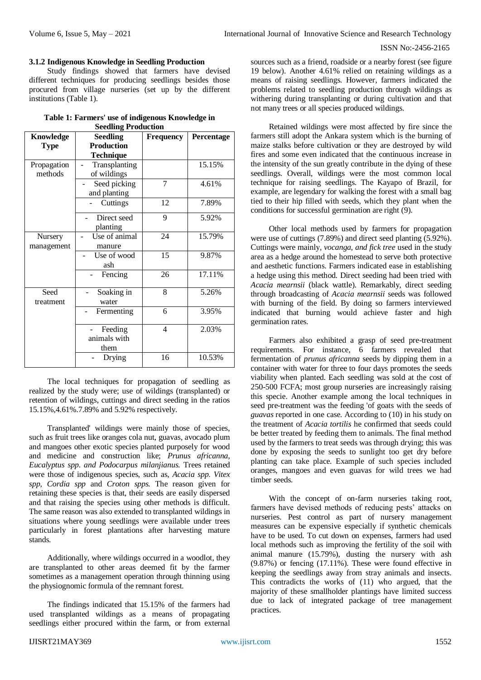#### **3.1.2 Indigenous Knowledge in Seedling Production**

Study findings showed that farmers have devised different techniques for producing seedlings besides those procured from village nurseries (set up by the different institutions (Table 1).

| <b>Knowledge</b> | <b>Seedling</b>   | <b>Frequency</b> | Percentage |
|------------------|-------------------|------------------|------------|
| <b>Type</b>      | <b>Production</b> |                  |            |
|                  | <b>Technique</b>  |                  |            |
| Propagation      | Transplanting     |                  | 15.15%     |
| methods          | of wildings       |                  |            |
|                  | Seed picking      | 7                | 4.61%      |
|                  | and planting      |                  |            |
|                  | Cuttings          | 12               | 7.89%      |
|                  | Direct seed       | 9                | 5.92%      |
|                  | planting          |                  |            |
| Nursery          | Use of animal     | 24               | 15.79%     |
| management       | manure            |                  |            |
|                  | Use of wood       | 15               | 9.87%      |
|                  | ash               |                  |            |
|                  | Fencing           | 26               | 17.11%     |
| Seed             | Soaking in        | 8                | 5.26%      |
| treatment        | water             |                  |            |
|                  | Fermenting        | 6                | 3.95%      |
|                  | Feeding           | $\overline{4}$   | 2.03%      |
|                  | animals with      |                  |            |
|                  | them              |                  |            |
|                  | Drying            | 16               | 10.53%     |

|  |                            | Table 1: Farmers' use of indigenous Knowledge in |
|--|----------------------------|--------------------------------------------------|
|  | <b>Seedling Production</b> |                                                  |

The local techniques for propagation of seedling as realized by the study were; use of wildings (transplanted) or retention of wildings, cuttings and direct seeding in the ratios 15.15%,4.61%.7.89% and 5.92% respectively.

Transplanted' wildings were mainly those of species, such as fruit trees like oranges cola nut, guavas, avocado plum and mangoes other exotic species planted purposely for wood and medicine and construction like; *Prunus africanna*, *Eucalyptus spp. and Podocarpus milanjianus.* Trees retained were those of indigenous species, such as, *Acacia spp. Vitex spp, Cordia spp* and *Croton spps.* The reason given for retaining these species is that, their seeds are easily dispersed and that raising the species using other methods is difficult. The same reason was also extended to transplanted wildings in situations where young seedlings were available under trees particularly in forest plantations after harvesting mature stands.

Additionally, where wildings occurred in a woodlot, they are transplanted to other areas deemed fit by the farmer sometimes as a management operation through thinning using the physiognomic formula of the remnant forest.

The findings indicated that 15.15% of the farmers had used transplanted wildings as a means of propagating seedlings either procured within the farm, or from external

sources such as a friend, roadside or a nearby forest (see figure 19 below). Another 4.61% relied on retaining wildings as a means of raising seedlings. However, farmers indicated the problems related to seedling production through wildings as withering during transplanting or during cultivation and that not many trees or all species produced wildings.

Retained wildings were most affected by fire since the farmers still adopt the Ankara system which is the burning of maize stalks before cultivation or they are destroyed by wild fires and some even indicated that the continuous increase in the intensity of the sun greatly contribute in the dying of these seedlings. Overall, wildings were the most common local technique for raising seedlings. The Kayapo of Brazil, for example, are legendary for walking the forest with a small bag tied to their hip filled with seeds, which they plant when the conditions for successful germination are right (9).

Other local methods used by farmers for propagation were use of cuttings (7.89%) and direct seed planting (5.92%). Cuttings were mainly*, vocanga, and fick tree* used in the study area as a hedge around the homestead to serve both protective and aesthetic functions. Farmers indicated ease in establishing a hedge using this method. Direct seeding had been tried with *Acacia mearnsii* (black wattle). Remarkably, direct seeding through broadcasting of *Acacia mearnsii* seeds was followed with burning of the field. By doing so farmers interviewed indicated that burning would achieve faster and high germination rates.

Farmers also exhibited a grasp of seed pre-treatment requirements. For instance, 6 farmers revealed that fermentation of *prunus africanna* seeds by dipping them in a container with water for three to four days promotes the seeds viability when planted. Each seedling was sold at the cost of 250-500 FCFA; most group nurseries are increasingly raising this specie. Another example among the local techniques in seed pre-treatment was the feeding 'of goats with the seeds of *guavas* reported in one case. According to (10) in his study on the treatment of *Acacia tortilis* he confirmed that seeds could be better treated by feeding them to animals. The final method used by the farmers to treat seeds was through drying; this was done by exposing the seeds to sunlight too get dry before planting can take place. Example of such species included oranges, mangoes and even guavas for wild trees we had timber seeds.

With the concept of on-farm nurseries taking root, farmers have devised methods of reducing pests' attacks on nurseries. Pest control as part of nursery management measures can be expensive especially if synthetic chemicals have to be used. To cut down on expenses, farmers had used local methods such as improving the fertility of the soil with animal manure (15.79%), dusting the nursery with ash (9.87%) or fencing (17.11%). These were found effective in keeping the seedlings away from stray animals and insects. This contradicts the works of (11) who argued, that the majority of these smallholder plantings have limited success due to lack of integrated package of tree management practices.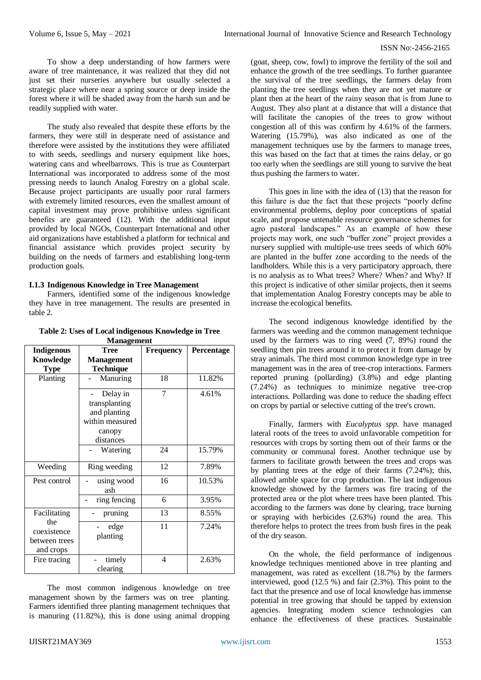To show a deep understanding of how farmers were aware of tree maintenance, it was realized that they did not just set their nurseries anywhere but usually selected a strategic place where near a spring source or deep inside the forest where it will be shaded away from the harsh sun and be readily supplied with water.

The study also revealed that despite these efforts by the farmers, they were still in desperate need of assistance and therefore were assisted by the institutions they were affiliated to with seeds, seedlings and nursery equipment like hoes, watering cans and wheelbarrows. This is true as Counterpart International was incorporated to address some of the most pressing needs to launch Analog Forestry on a global scale. Because project participants are usually poor rural farmers with extremely limited resources, even the smallest amount of capital investment may prove prohibitive unless significant benefits are guaranteed (12). With the additional input provided by local NGOs, Counterpart International and other aid organizations have established a platform for technical and financial assistance which provides project security by building on the needs of farmers and establishing long-term production goals.

# **I.1.3 Indigenous Knowledge in Tree Management**

Farmers, identified some of the indigenous knowledge they have in tree management. The results are presented in table 2.

|                                                  | манадениен                                                                          |                  |            |
|--------------------------------------------------|-------------------------------------------------------------------------------------|------------------|------------|
| <b>Indigenous</b>                                | <b>Tree</b>                                                                         | <b>Frequency</b> | Percentage |
| <b>Knowledge</b>                                 | <b>Management</b>                                                                   |                  |            |
| <b>Type</b>                                      | <b>Technique</b>                                                                    |                  |            |
| Planting                                         | Manuring                                                                            | 18               | 11.82%     |
|                                                  | Delay in<br>transplanting<br>and planting<br>within measured<br>canopy<br>distances | 7                | 4.61%      |
|                                                  | Watering                                                                            | 24               | 15.79%     |
| Weeding                                          | Ring weeding                                                                        | 12               | 7.89%      |
| Pest control                                     | using wood<br>ash                                                                   | 16               | 10.53%     |
|                                                  | ring fencing                                                                        | 6                | 3.95%      |
| Facilitating                                     | pruning                                                                             | 13               | 8.55%      |
| the<br>coexistence<br>between trees<br>and crops | edge<br>planting                                                                    | 11               | 7.24%      |
| Fire tracing                                     | timely<br>clearing                                                                  | $\overline{4}$   | 2.63%      |

#### **Table 2: Uses of Local indigenous Knowledge in Tree Management**

The most common indigenous knowledge on tree management shown by the farmers was on tree planting. Farmers identified three planting management techniques that is manuring (11.82%), this is done using animal dropping

(goat, sheep, cow, fowl) to improve the fertility of the soil and enhance the growth of the tree seedlings. To further guarantee the survival of the tree seedlings, the farmers delay from planting the tree seedlings when they are not yet mature or plant then at the heart of the rainy season that is from June to August. They also plant at a distance that will a distance that will facilitate the canopies of the trees to grow without congestion all of this was confirm by 4.61% of the farmers. Watering (15.79%), was also indicated as one of the management techniques use by the farmers to manage trees, this was based on the fact that at times the rains delay, or go too early when the seedlings are still young to survive the heat thus pushing the farmers to water.

This goes in line with the idea of (13) that the reason for this failure is due the fact that these projects "poorly define environmental problems, deploy poor conceptions of spatial scale, and propose untenable resource governance schemes for agro pastoral landscapes." As an example of how these projects may work, one such "buffer zone" project provides a nursery supplied with multiple-use trees seeds of which 60% are planted in the buffer zone according to the needs of the landholders. While this is a very participatory approach, there is no analysis as to What trees? Where? When? and Why? If this project is indicative of other similar projects, then it seems that implementation Analog Forestry concepts may be able to increase the ecological benefits.

The second indigenous knowledge identified by the farmers was weeding and the common management technique used by the farmers was to ring weed (7, 89%) round the seedling then pin trees around it to protect it from damage by stray animals. The third most common knowledge type in tree management was in the area of tree-crop interactions. Farmers reported pruning (pollarding) (3.8%) and edge planting (7.24%) as techniques to minimize negative tree-crop interactions. Pollarding was done to reduce the shading effect on crops by partial or selective cutting of the tree's crown.

Finally, farmers with *Eucalyptus spp.* have managed lateral roots of the trees to avoid unfavorable competition for resources with crops by sorting them out of their farms or the community or communal forest. Another technique use by farmers to facilitate growth between the trees and crops was by planting trees at the edge of their farms (7.24%); this, allowed amble space for crop production. The last indigenous knowledge showed by the farmers was fire tracing of the protected area or the plot where trees have been planted. This according to the farmers was done by clearing, trace burning or spraying with herbicides (2.63%) round the area. This therefore helps to protect the trees from bush fires in the peak of the dry season.

On the whole, the field performance of indigenous knowledge techniques mentioned above in tree planting and management, was rated as excellent (18.7%) by the farmers interviewed, good (12.5 %) and fair (2.3%). This point to the fact that the presence and use of local knowledge has immense potential in tree growing that should be tapped by extension agencies. Integrating modem science technologies can enhance the effectiveness of these practices. Sustainable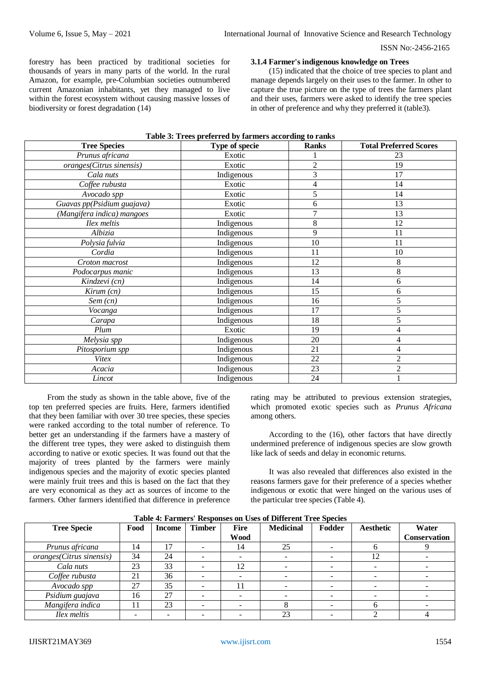forestry has been practiced by traditional societies for thousands of years in many parts of the world. In the rural Amazon, for example, pre-Columbian societies outnumbered current Amazonian inhabitants, yet they managed to live within the forest ecosystem without causing massive losses of biodiversity or forest degradation (14)

#### **3.1.4 Farmer's indigenous knowledge on Trees**

(15) indicated that the choice of tree species to plant and manage depends largely on their uses to the farmer. In other to capture the true picture on the type of trees the farmers plant and their uses, farmers were asked to identify the tree species in other of preference and why they preferred it (table3).

| <b>Tree Species</b>        | Type of specie | <b>Ranks</b> | <b>Total Preferred Scores</b> |
|----------------------------|----------------|--------------|-------------------------------|
| Prunus africana            | Exotic         |              | 23                            |
| oranges(Citrus sinensis)   | Exotic         | $\sqrt{2}$   | 19                            |
| Cala nuts                  | Indigenous     | 3            | 17                            |
| Coffee rubusta             | Exotic         | 4            | 14                            |
| Avocado spp                | Exotic         | 5            | 14                            |
| Guavas pp(Psidium guajava) | Exotic         | 6            | 13                            |
| (Mangifera indica) mangoes | Exotic         | 7            | 13                            |
| Ilex meltis                | Indigenous     | $8\,$        | 12                            |
| Albizia                    | Indigenous     | 9            | 11                            |
| Polysia fulvia             | Indigenous     | 10           | 11                            |
| Cordia                     | Indigenous     | 11           | 10                            |
| Croton macrost             | Indigenous     | 12           | 8                             |
| Podocarpus manic           | Indigenous     | 13           | 8                             |
| Kindzevi (cn)              | Indigenous     | 14           | 6                             |
| Kirum (cn)                 | Indigenous     | 15           | 6                             |
| Sem (cn)                   | Indigenous     | 16           |                               |
| Vocanga                    | Indigenous     | 17           |                               |
| Carapa                     | Indigenous     | 18           | 5                             |
| Plum                       | Exotic         | 19           | 4                             |
| Melysia spp                | Indigenous     | $20\,$       | 4                             |
| Pitosporium spp            | Indigenous     | 21           | 4                             |
| Vitex                      | Indigenous     | 22           | $\overline{c}$                |
| Acacia                     | Indigenous     | 23           | $\overline{c}$                |
| Lincot                     | Indigenous     | 24           |                               |

**Table 3: Trees preferred by farmers according to ranks**

From the study as shown in the table above, five of the top ten preferred species are fruits. Here, farmers identified that they been familiar with over 30 tree species, these species were ranked according to the total number of reference. To better get an understanding if the farmers have a mastery of the different tree types, they were asked to distinguish them according to native or exotic species. It was found out that the majority of trees planted by the farmers were mainly indigenous species and the majority of exotic species planted were mainly fruit trees and this is based on the fact that they are very economical as they act as sources of income to the farmers. Other farmers identified that difference in preference

rating may be attributed to previous extension strategies, which promoted exotic species such as *Prunus Africana*  among others.

According to the (16), other factors that have directly undermined preference of indigenous species are slow growth like lack of seeds and delay in economic returns.

It was also revealed that differences also existed in the reasons farmers gave for their preference of a species whether indigenous or exotic that were hinged on the various uses of the particular tree species (Table 4).

| THOIC II THEIRLD TWOROLOGO ON COCO OF D'INTERNET TI CO D'IOCHOD |      |               |               |                            |                          |                          |                  |                              |
|-----------------------------------------------------------------|------|---------------|---------------|----------------------------|--------------------------|--------------------------|------------------|------------------------------|
| <b>Tree Specie</b>                                              | Food | <b>Income</b> | <b>Timber</b> | <b>Fire</b><br><b>Wood</b> | <b>Medicinal</b>         | Fodder                   | <b>Aesthetic</b> | Water<br><b>Conservation</b> |
| Prunus africana                                                 | 14   |               |               | 14                         | 25                       |                          |                  |                              |
| oranges(Citrus sinensis)                                        | 34   | 24            |               |                            |                          |                          |                  |                              |
| Cala nuts                                                       | 23   | 33            |               | 12                         | $\overline{\phantom{0}}$ | -                        |                  |                              |
| Coffee rubusta                                                  | 21   | 36            |               | -                          | $\overline{\phantom{0}}$ |                          |                  |                              |
| Avocado spp                                                     | 27   | 35            |               | 11                         |                          |                          |                  |                              |
| Psidium guajava                                                 | 16   | 27            |               |                            |                          | $\overline{\phantom{0}}$ |                  |                              |
| Mangifera indica                                                | 11   | 23            |               |                            |                          |                          |                  |                              |
| Ilex meltis                                                     |      |               |               |                            | 23                       |                          |                  |                              |

**Table 4: Farmers' Responses on Uses of Different Tree Species**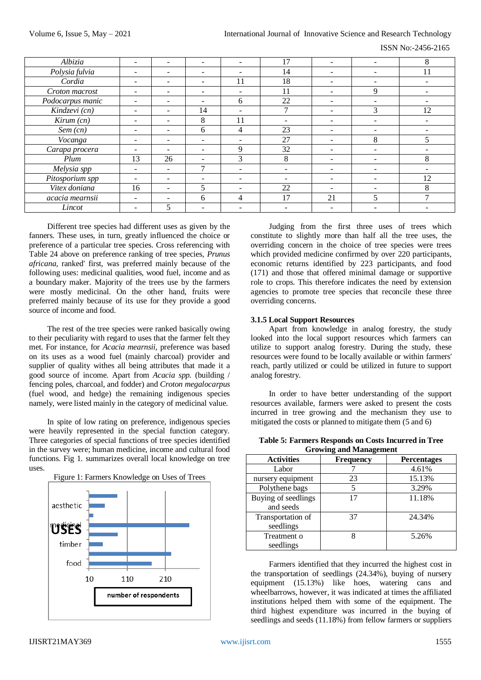ISSN No:-2456-2165

| Albizia          | -                            | $\overline{\phantom{0}}$ | $\overline{\phantom{0}}$ | $\sim$                   | 17                       | $\overline{\phantom{0}}$     |                              | 8  |
|------------------|------------------------------|--------------------------|--------------------------|--------------------------|--------------------------|------------------------------|------------------------------|----|
| Polysia fulvia   | $\overline{\phantom{0}}$     | -                        | -                        | $\overline{\phantom{0}}$ | 14                       | $\overline{\phantom{0}}$     |                              | 11 |
| Cordia           | $\overline{\phantom{0}}$     |                          |                          | 11                       | 18                       | -                            |                              |    |
| Croton macrost   | -                            | -                        | $\overline{\phantom{0}}$ | $\overline{\phantom{0}}$ | 11                       | $\overline{\phantom{0}}$     | 9                            |    |
| Podocarpus manic |                              | -                        |                          | 6                        | 22                       | -                            |                              |    |
| Kindzevi (cn)    | $\qquad \qquad \blacksquare$ | $\overline{\phantom{0}}$ | 14                       | $\overline{\phantom{0}}$ |                          | -                            | 3                            | 12 |
| $Kirum$ $(cn)$   | $\overline{\phantom{0}}$     | ۰                        | 8                        | 11                       |                          | -                            | $\qquad \qquad \blacksquare$ |    |
| Sem (cn)         | $\overline{\phantom{0}}$     | -                        | 6                        | 4                        | 23                       | $\qquad \qquad \blacksquare$ |                              |    |
| Vocanga          | $\overline{\phantom{0}}$     |                          |                          |                          | 27                       |                              | 8                            | 5  |
| Carapa procera   | -                            | -                        | -                        | 9                        | 32                       | -                            | $\overline{\phantom{a}}$     |    |
| Plum             | 13                           | 26                       |                          | $\mathcal{R}$            | 8                        | $\overline{\phantom{0}}$     |                              | 8  |
| Melysia spp      | $\overline{\phantom{0}}$     | $\overline{\phantom{a}}$ |                          | $\overline{\phantom{a}}$ | $\overline{\phantom{0}}$ | $\overline{\phantom{0}}$     | $\overline{\phantom{0}}$     |    |
| Pitosporium spp  | $\overline{\phantom{0}}$     |                          |                          | -                        |                          | $\overline{\phantom{0}}$     |                              | 12 |
| Vitex doniana    | 16                           |                          | 5                        |                          | 22                       | $\overline{\phantom{0}}$     |                              | 8  |
| acacia mearnsii  | $\overline{\phantom{0}}$     | $\overline{\phantom{0}}$ | 6                        | 4                        | 17                       | 21                           |                              |    |
| Lincot           |                              | 5                        |                          |                          |                          |                              |                              |    |

Different tree species had different uses as given by the fanners. These uses, in turn, greatly influenced the choice or preference of a particular tree species. Cross referencing with Table 24 above on preference ranking of tree species, *Prunus africana,* ranked' first, was preferred mainly because of the following uses: medicinal qualities, wood fuel, income and as a boundary maker. Majority of the trees use by the farmers were mostly medicinal. On the other hand, fruits were preferred mainly because of its use for they provide a good source of income and food.

The rest of the tree species were ranked basically owing to their peculiarity with regard to uses that the farmer felt they met. For instance, for *Acacia mearnsii,* preference was based on its uses as a wood fuel (mainly charcoal) provider and supplier of quality withes all being attributes that made it a good source of income. Apart from *Acacia spp.* (building / fencing poles, charcoal, and fodder) and *Croton megalocarpus*  (fuel wood, and hedge) the remaining indigenous species namely, were listed mainly in the category of medicinal value.

In spite of low rating on preference, indigenous species were heavily represented in the special function category. Three categories of special functions of tree species identified in the survey were; human medicine, income and cultural food functions. Fig 1. summarizes overall local knowledge on tree uses.



Judging from the first three uses of trees which constitute to slightly more than half all the tree uses, the overriding concern in the choice of tree species were trees which provided medicine confirmed by over 220 participants, economic returns identified by 223 participants, and food (171) and those that offered minimal damage or supportive role to crops. This therefore indicates the need by extension agencies to promote tree species that reconcile these three overriding concerns.

#### **3.1.5 Local Support Resources**

Apart from knowledge in analog forestry, the study looked into the local support resources which farmers can utilize to support analog forestry. During the study, these resources were found to be locally available or within farmers' reach, partly utilized or could be utilized in future to support analog forestry.

In order to have better understanding of the support resources available, farmers were asked to present the costs incurred in tree growing and the mechanism they use to mitigated the costs or planned to mitigate them (5 and 6)

| <b>Activities</b>   | <b>Frequency</b> | <b>Percentages</b> |
|---------------------|------------------|--------------------|
| Labor               |                  | 4.61%              |
| nursery equipment   | 23               | 15.13%             |
| Polythene bags      |                  | 3.29%              |
| Buying of seedlings | 17               | 11.18%             |
| and seeds           |                  |                    |
| Transportation of   | 37               | 24.34%             |
| seedlings           |                  |                    |
| Treatment o         | 8                | 5.26%              |
| seedlings           |                  |                    |

**Table 5: Farmers Responds on Costs Incurred in Tree Growing and Management**

Farmers identified that they incurred the highest cost in the transportation of seedlings (24.34%), buying of nursery equipment (15.13%) like hoes, watering cans and wheelbarrows, however, it was indicated at times the affiliated institutions helped them with some of the equipment. The third highest expenditure was incurred in the buying of seedlings and seeds (11.18%) from fellow farmers or suppliers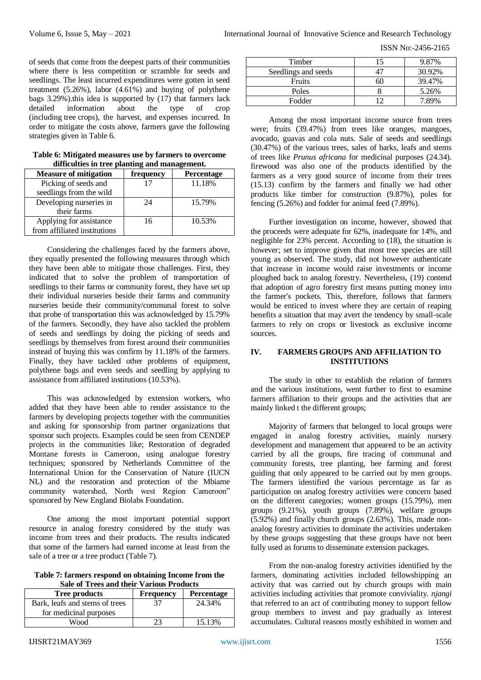of seeds that come from the deepest parts of their communities where there is less competition or scramble for seeds and seedlings. The least incurred expenditures were gotten in seed treatment (5.26%), labor (4.61%) and buying of polythene bags 3.29%).this idea is supported by (17) that farmers lack detailed information about the type of crop (including tree crops), the harvest, and expenses incurred. In order to mitigate the costs above, farmers gave the following strategies given in Table 6.

| unnemmes in tree planting and management. |           |                   |  |  |  |
|-------------------------------------------|-----------|-------------------|--|--|--|
| <b>Measure of mitigation</b>              | frequency | <b>Percentage</b> |  |  |  |
| Picking of seeds and                      | 17        | 11.18%            |  |  |  |
| seedlings from the wild                   |           |                   |  |  |  |
| Developing nurseries in                   | 24        | 15.79%            |  |  |  |
| their farms                               |           |                   |  |  |  |
| Applying for assistance                   | 16        | 10.53%            |  |  |  |
| from affiliated institutions              |           |                   |  |  |  |

| Table 6: Mitigated measures use by farmers to overcome |
|--------------------------------------------------------|
| difficulties in tree planting and management.          |

Considering the challenges faced by the farmers above, they equally presented the following measures through which they have been able to mitigate those challenges. First, they indicated that to solve the problem of transportation of seedlings to their farms or community forest, they have set up their individual nurseries beside their farms and community nurseries beside their community/communal forest to solve that probe of transportation this was acknowledged by 15.79% of the farmers. Secondly, they have also tackled the problem of seeds and seedlings by doing the picking of seeds and seedlings by themselves from forest around their communities instead of buying this was confirm by 11.18% of the farmers. Finally, they have tackled other problems of equipment, polythene bags and even seeds and seedling by applying to assistance from affiliated institutions (10.53%).

This was acknowledged by extension workers, who added that they have been able to render assistance to the farmers by developing projects together with the communities and asking for sponsorship from partner organizations that sponsor such projects. Examples could be seen from CENDEP projects in the communities like; Restoration of degraded Montane forests in Cameroon, using analogue forestry techniques; sponsored by Netherlands Committee of the International Union for the Conservation of Nature (IUCN NL) and the restoration and protection of the Mbiame community watershed, North west Region Cameroon" sponsored by New England Biolabs Foundation.

One among the most important potential support resource in analog forestry considered by the study was income from trees and their products. The results indicated that some of the farmers had earned income at least from the sale of a tree or a tree product (Table 7).

**Table 7: farmers respond on obtaining Income from the Sale of Trees and their Various Products**

| <b>Tree products</b>           | <b>Frequency</b> | <b>Percentage</b> |  |  |  |
|--------------------------------|------------------|-------------------|--|--|--|
| Bark, leafs and stems of trees | 37               | 24.34%            |  |  |  |
| for medicinal purposes         |                  |                   |  |  |  |
| Wood                           | າເ               | 15.13%            |  |  |  |

Among the most important income source from trees were; fruits (39.47%) from trees like oranges, mangoes, avocado, guavas and cola nuts. Sale of seeds and seedlings (30.47%) of the various trees, sales of barks, leafs and stems of trees like *Prunus africana* for medicinal purposes (24.34). firewood was also one of the products identified by the farmers as a very good source of income from their trees (15.13) confirm by the farmers and finally we had other products like timber for construction (9.87%), poles for fencing (5.26%) and fodder for animal feed (7.89%).

Further investigation on income, however, showed that the proceeds were adequate for 62%, inadequate for 14%, and negligible for 23% percent. According to (18), the situation is however; set to improve given that most tree species are still young as observed. The study, did not however authenticate that increase in income would raise investments or income ploughed back to analog forestry. Nevertheless, (19) contend that adoption of agro forestry first means putting money into the farmer's pockets. This, therefore, follows that farmers would be enticed to invest where they are certain of reaping benefits a situation that may avert the tendency by small-scale farmers to rely on crops or livestock as exclusive income sources.

# **IV. FARMERS GROUPS AND AFFILIATION TO INSTITUTIONS**

The study in other to establish the relation of farmers and the various institutions, went further to first to examine farmers affiliation to their groups and the activities that are mainly linked t the different groups;

Majority of farmers that belonged to local groups were engaged in analog forestry activities, mainly nursery development and management that appeared to be an activity carried by all the groups, fire tracing of communal and community forests, tree planting, bee farming and forest guiding that only appeared to be carried out by men groups. The farmers identified the various percentage as far as participation on analog forestry activities were concern based on the different categories; women groups (15.79%), men groups (9.21%), youth groups (7.89%), welfare groups (5.92%) and finally church groups (2.63%). This, made nonanalog forestry activities to dominate the activities undertaken by these groups suggesting that these groups have not been fully used as forums to disseminate extension packages.

From the non-analog forestry activities identified by the farmers, dominating activities included fellowshipping an activity that was carried out by church groups with main activities including activities that promote conviviality. *njangi* that referred to an act of contributing money to support fellow group members to invest and pay gradually as interest accumulates. Cultural reasons mostly exhibited in women and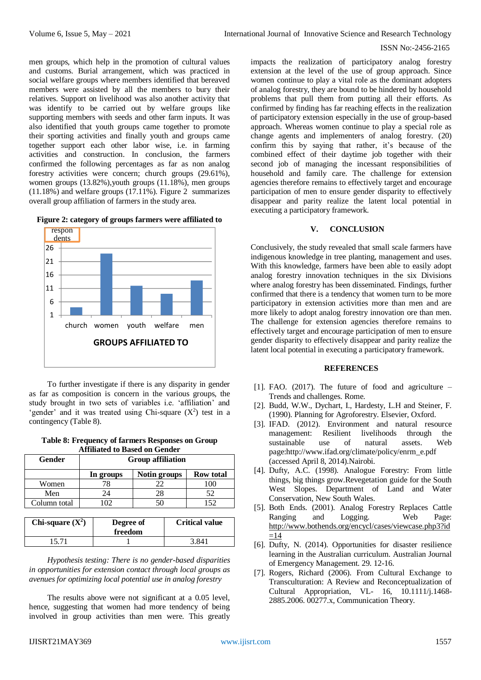men groups, which help in the promotion of cultural values and customs. Burial arrangement, which was practiced in social welfare groups where members identified that bereaved members were assisted by all the members to bury their relatives. Support on livelihood was also another activity that was identify to be carried out by welfare groups like supporting members with seeds and other farm inputs. It was also identified that youth groups came together to promote their sporting activities and finally youth and groups came together support each other labor wise, i.e. in farming activities and construction. In conclusion, the farmers confirmed the following percentages as far as non analog forestry activities were concern; church groups (29.61%), women groups (13.82%),youth groups (11.18%), men groups  $(11.18\%)$  and welfare groups  $(17.11\%)$ . Figure 2 summarizes overall group affiliation of farmers in the study area.





To further investigate if there is any disparity in gender as far as composition is concern in the various groups, the study brought in two sets of variables i.e. 'affiliation' and 'gender' and it was treated using Chi-square  $(X^2)$  test in a contingency (Table 8).

**Table 8: Frequency of farmers Responses on Group Affiliated to Based on Gender**

| <b>Gender</b> | <b>Group affiliation</b> |              |                  |  |  |  |
|---------------|--------------------------|--------------|------------------|--|--|--|
|               | In groups                | Notin groups | <b>Row total</b> |  |  |  |
| Women         |                          | 22           |                  |  |  |  |
| Men           | 24                       | 28           | 52               |  |  |  |
| Column total  |                          |              | 152              |  |  |  |

| Chi-square $(X^2)$ | Degree of<br>freedom | <b>Critical value</b> |
|--------------------|----------------------|-----------------------|
| 15.71              |                      | 3.841                 |

*Hypothesis testing: There is no gender-based disparities in opportunities for extension contact through local groups as avenues for optimizing local potential use in analog forestry*

The results above were not significant at a 0.05 level, hence, suggesting that women had more tendency of being involved in group activities than men were. This greatly

impacts the realization of participatory analog forestry extension at the level of the use of group approach. Since women continue to play a vital role as the dominant adopters of analog forestry, they are bound to be hindered by household problems that pull them from putting all their efforts. As confirmed by finding has far reaching effects in the realization of participatory extension especially in the use of group-based approach. Whereas women continue to play a special role as change agents and implementers of analog forestry. (20) confirm this by saying that rather, it's because of the combined effect of their daytime job together with their second job of managing the incessant responsibilities of household and family care. The challenge for extension agencies therefore remains to effectively target and encourage participation of men to ensure gender disparity to effectively disappear and parity realize the latent local potential in executing a participatory framework.

## **V. CONCLUSION**

Conclusively, the study revealed that small scale farmers have indigenous knowledge in tree planting, management and uses. With this knowledge, farmers have been able to easily adopt analog forestry innovation techniques in the six Divisions where analog forestry has been disseminated. Findings, further confirmed that there is a tendency that women turn to be more participatory in extension activities more than men and are more likely to adopt analog forestry innovation ore than men. The challenge for extension agencies therefore remains to effectively target and encourage participation of men to ensure gender disparity to effectively disappear and parity realize the latent local potential in executing a participatory framework.

#### **REFERENCES**

- [1]. FAO. (2017). The future of food and agriculture Trends and challenges. Rome.
- [2]. Budd, W.W., Dychart, I., Hardesty, L.H and Steiner, F. (1990). Planning for Agroforestry. Elsevier, Oxford.
- [3]. IFAD. (2012). Environment and natural resource management: Resilient livelihoods through the sustainable use of natural assets. Web page:http://www.ifad.org/climate/policy/enrm\_e.pdf (accessed April 8, 2014).Nairobi.
- [4]. Dufty, A.C. (1998). Analogue Forestry: From little things, big things grow.Revegetation guide for the South West Slopes. Department of Land and Water Conservation, New South Wales.
- [5]. Both Ends. (2001). Analog Forestry Replaces Cattle Ranging and Logging. Web Page: [http://www.bothends.org/encycl/cases/viewcase.php3?id](http://www.bothends.org/encycl/cases/viewcase.php3?id=14)  $=14$
- [6]. Dufty, N. (2014). Opportunities for disaster resilience learning in the Australian curriculum. Australian Journal of Emergency Management. 29. 12-16.
- [7]. Rogers, Richard (2006). From Cultural Exchange to Transculturation: A Review and Reconceptualization of Cultural Appropriation, VL- 16, 10.1111/j.1468- 2885.2006. 00277.x, Communication Theory.